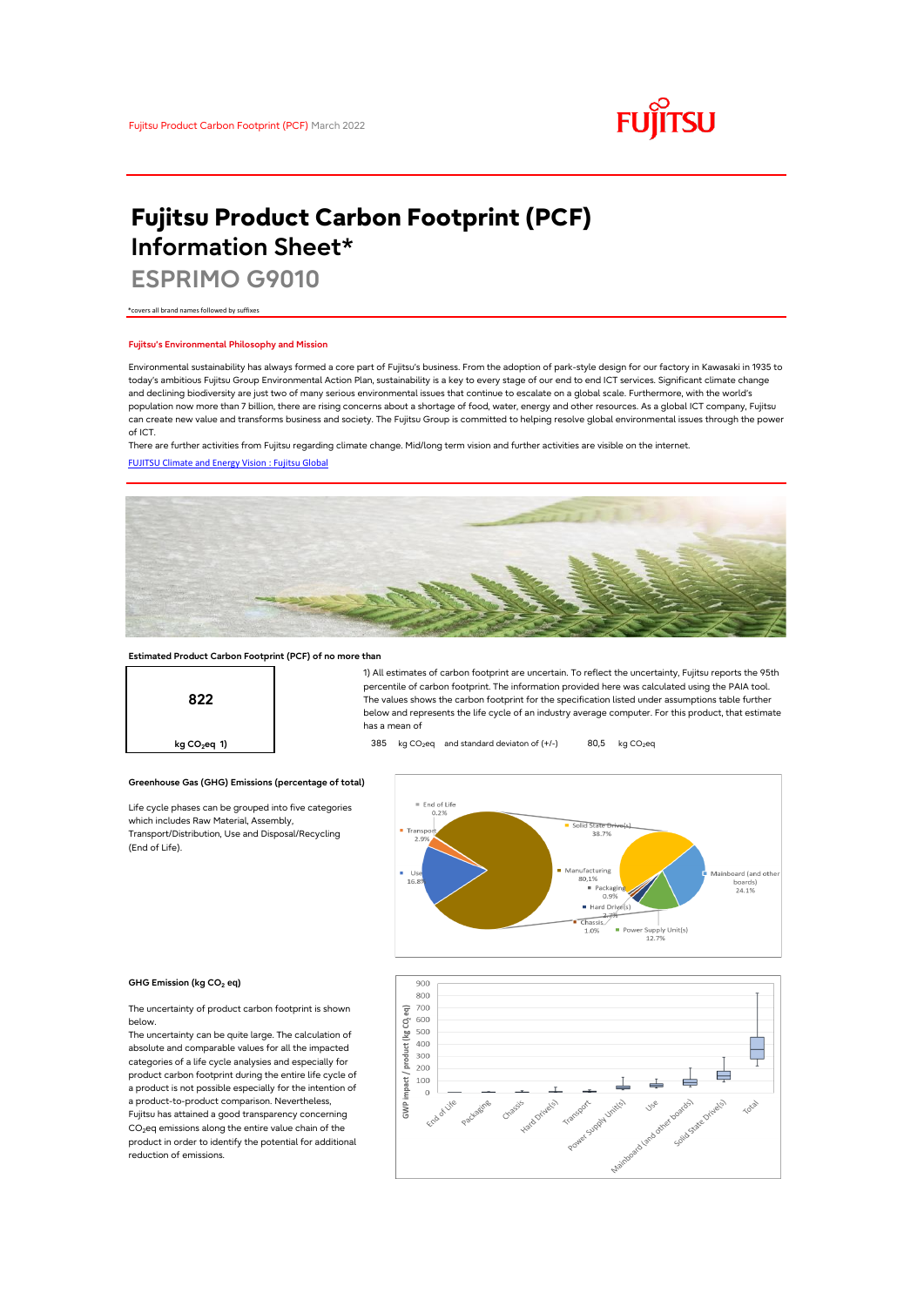

# **Fujitsu Product Carbon Footprint (PCF) Information Sheet\***

**ESPRIMO G9010**

\*covers all brand names followed by suffixes

#### **Fujitsu's Environmental Philosophy and Mission**

Environmental sustainability has always formed a core part of Fujitsu's business. From the adoption of park-style design for our factory in Kawasaki in 1935 to today's ambitious Fujitsu Group Environmental Action Plan, sustainability is a key to every stage of our end to end ICT services. Significant climate change and declining biodiversity are just two of many serious environmental issues that continue to escalate on a global scale. Furthermore, with the world's population now more than 7 billion, there are rising concerns about a shortage of food, water, energy and other resources. As a global ICT company, Fujitsu can create new value and transforms business and society. The Fujitsu Group is committed to helping resolve global environmental issues through the power of ICT.

[FUJITSU Climate and Energy Vision : Fujitsu Global](https://www.fujitsu.com/global/about/environment/climate-energy-vision/) There are further activities from Fujitsu regarding climate change. Mid/long term vision and further activities are visible on the internet.



# **Estimated Product Carbon Footprint (PCF) of no more than**



1) All estimates of carbon footprint are uncertain. To reflect the uncertainty, Fujitsu reports the 95th percentile of carbon footprint. The information provided here was calculated using the PAIA tool. The values shows the carbon footprint for the specification listed under assumptions table further below and represents the life cycle of an industry average computer. For this product, that estimate has a mean of

## **kg CO<sub>2</sub>eq 1)** 385 kg CO<sub>2</sub>eq and standard deviaton of (+/-) 80,5 kg CO<sub>2</sub>eq

### **Greenhouse Gas (GHG) Emissions (percentage of total)**

Life cycle phases can be grouped into five categories which includes Raw Material, Assembly, Transport/Distribution, Use and Disposal/Recycling (End of Life).





The uncertainty of product carbon footprint is shown below.

The uncertainty can be quite large. The calculation of absolute and comparable values for all the impacted categories of a life cycle analysies and especially for product carbon footprint during the entire life cycle of a product is not possible especially for the intention of a product-to-product comparison. Nevertheless, Fujitsu has attained a good transparency concerning CO<sub>2</sub>eq emissions along the entire value chain of the product in order to identify the potential for additional reduction of emissions.